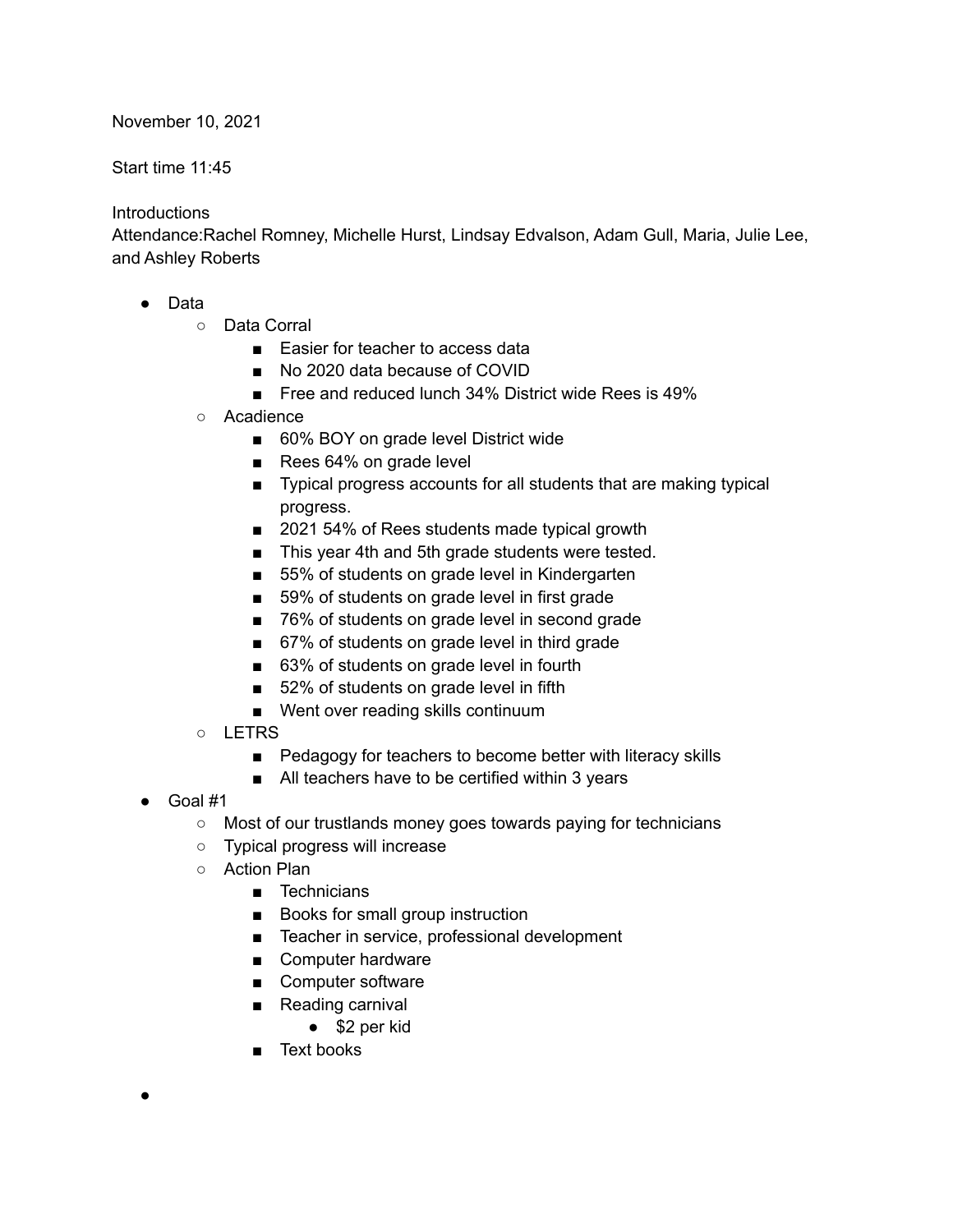November 10, 2021

Start time 11:45

## **Introductions**

Attendance:Rachel Romney, Michelle Hurst, Lindsay Edvalson, Adam Gull, Maria, Julie Lee, and Ashley Roberts

- Data
	- Data Corral
		- Easier for teacher to access data
		- No 2020 data because of COVID
		- Free and reduced lunch 34% District wide Rees is 49%
	- Acadience
		- 60% BOY on grade level District wide
		- Rees 64% on grade level
		- Typical progress accounts for all students that are making typical progress.
		- 2021 54% of Rees students made typical growth
		- This year 4th and 5th grade students were tested.
		- 55% of students on grade level in Kindergarten
		- 59% of students on grade level in first grade
		- 76% of students on grade level in second grade
		- 67% of students on grade level in third grade
		- 63% of students on grade level in fourth
		- 52% of students on grade level in fifth
		- Went over reading skills continuum
	- LETRS
		- Pedagogy for teachers to become better with literacy skills
		- All teachers have to be certified within 3 years
- Goal #1

●

- Most of our trustlands money goes towards paying for technicians
- Typical progress will increase
- Action Plan
	- Technicians
	- Books for small group instruction
	- Teacher in service, professional development
	- Computer hardware
	- Computer software
	- Reading carnival
		- \$2 per kid
	- Text books